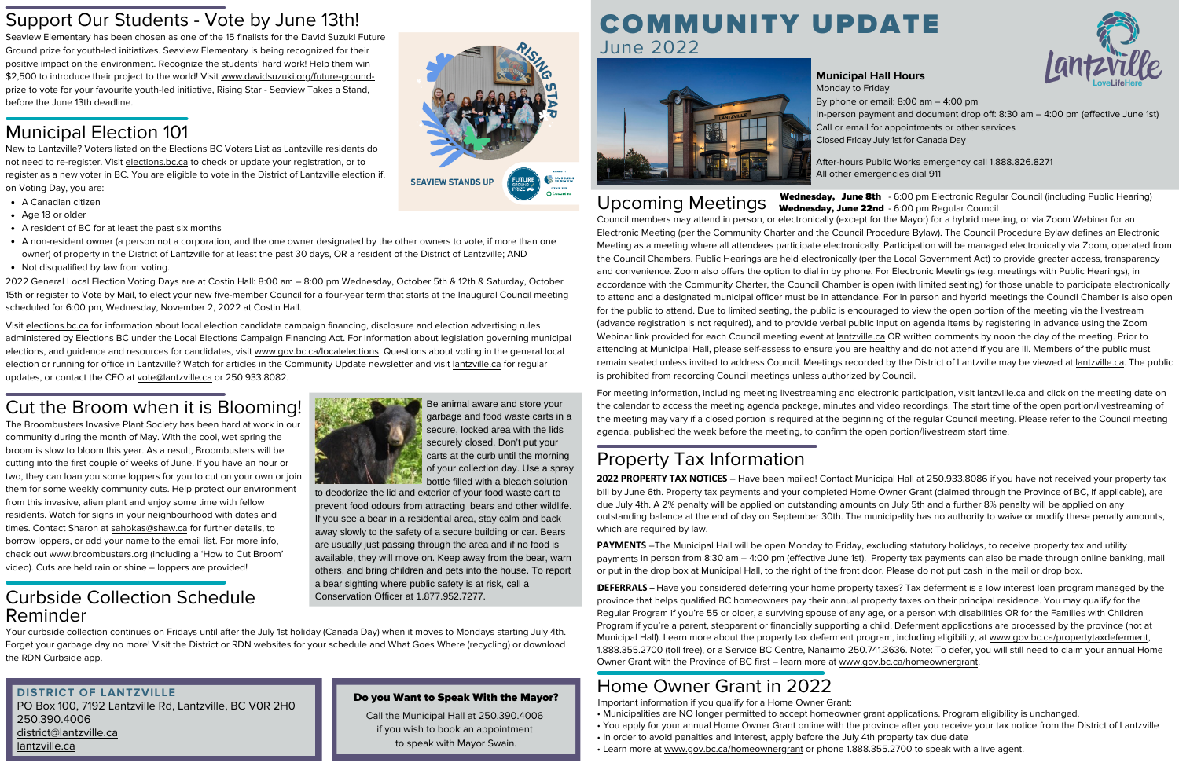## Municipal Election 101

### Cut the Broom when it is Blooming!

- A Canadian citizen
- Age 18 or older
- A resident of BC for at least the past six months
- A non-resident owner (a person not a corporation, and the one owner designated by the other owners to vote, if more than one owner) of property in the District of Lantzville for at least the past 30 days, OR a resident of the District of Lantzville; AND
- Not disqualified by law from voting.

The Broombusters Invasive Plant Society has been hard at work in our community during the month of May. With the cool, wet spring the broom is slow to bloom this year. As a result, Broombusters will be cutting into the first couple of weeks of June. If you have an hour or two, they can loan you some loppers for you to cut on your own or join them for some weekly community cuts. Help protect our environment from this invasive, alien plant and enjoy some time with fellow residents. Watch for signs in your neighbourhood with dates and times. Contact Sharon at [sahokas@shaw.ca](mailto:sahokas@shaw.ca) for further details, to borrow loppers, or add your name to the email list. For more info, check out [www.broombusters.org](http://www.broombusters.org/) (including a 'How to Cut Broom' video). Cuts are held rain or shine – loppers are provided!

Be animal aware and store your garbage and food waste carts in a secure, locked area with the lids securely closed. Don't put your carts at the curb until the morning of your collection day. Use a spray bottle filled with a bleach solution

2022 General Local Election Voting Days are at Costin Hall: 8:00 am – 8:00 pm Wednesday, October 5th & 12th & Saturday, October 15th or register to Vote by Mail, to elect your new five-member Council for a four-year term that starts at the Inaugural Council meeting scheduled for 6:00 pm, Wednesday, November 2, 2022 at Costin Hall.

Visit elections.bc.ca for information about local election candidate campaign financing, disclosure and election advertising rules administered by Elections BC under the Local Elections Campaign Financing Act. For information about legislation governing municipal elections, and guidance and resources for candidates, visit [www.gov.bc.ca/localelections](http://www.gov.bc.ca/localelections). Questions about voting in the general local election or running for office in Lantzville? Watch for articles in the Community Update newsletter and visit lantzville.ca for regular updates, or contact the CEO at [vote@lantzville.ca](mailto:vote@lantzville.ca) or 250.933.8082.

Council members may attend in person, or electronically (except for the Mayor) for a hybrid meeting, or via Zoom Webinar for an Electronic Meeting (per the Community Charter and the Council Procedure Bylaw). The Council Procedure Bylaw defines an Electronic Meeting as a meeting where all attendees participate electronically. Participation will be managed electronically via Zoom, operated from the Council Chambers. Public Hearings are held electronically (per the Local Government Act) to provide greater access, transparency and convenience. Zoom also offers the option to dial in by phone. For Electronic Meetings (e.g. meetings with Public Hearings), in accordance with the Community Charter, the Council Chamber is open (with limited seating) for those unable to participate electronically to attend and a designated municipal officer must be in attendance. For in person and hybrid meetings the Council Chamber is also open for the public to attend. Due to limited seating, the public is encouraged to view the open portion of the meeting via the livestream (advance registration is not required), and to provide verbal public input on agenda items by registering in advance using the Zoom Webinar link provided for each Council meeting event at [lantzville.ca](http://lantzville.ca/) OR written comments by noon the day of the meeting. Prior to attending at Municipal Hall, please self-assess to ensure you are healthy and do not attend if you are ill. Members of the public must remain seated unless invited to address Council. Meetings recorded by the District of Lantzville may be viewed at [lantzville.ca](http://lantzville.ca/). The public is prohibited from recording Council meetings unless authorized by Council.

- 
- 
- In order to avoid penalties and interest, apply before the July 4th property tax due date
- Learn more at [www.gov.bc.ca/homeownergrant](http://www.gov.bc.ca/homeownergrant) or phone 1.888.355.2700 to speak with a live agent.



**SEAVIEW STANDS UP** 





Call the Municipal Hall at  $250.390.4006$ if you wish to book an appointment to speak with Mayor Swain.

For meeting information, including meeting livestreaming and electronic participation, visit [lantzville.ca](http://lantzville.ca/) and click on the meeting date on the calendar to access the meeting agenda package, minutes and video recordings. The start time of the open portion/livestreaming of the meeting may vary if a closed portion is required at the beginning of the regular Council meeting. Please refer to the Council meeting agenda, published the week before the meeting, to confirm the open portion/livestream start time.

# June 2022



#### **Municipal Hall Hours**

After-hours Public Works emergency call 1.888.826.8271 All other emergencies dial 911

Upcoming Meetings Wednesday, June 8th - 6:00 pm Electronic Regular Council (including Public Hearing) Wednesday, June 22nd - 6:00 pm Regular Council

Monday to Friday By phone or email: 8:00 am – 4:00 pm In-person payment and document drop off: 8:30 am – 4:00 pm (effective June 1st) Call or email for appointments or other services Closed Friday July 1st for Canada Day

### Support Our Students - Vote by June 13th!<br>
COMMUNITY UPDATE

Seaview Elementary has been chosen as one of the 15 finalists for the David Suzuki Future Ground prize for youth-led initiatives. Seaview Elementary is being recognized for their positive impact on the environment. Recognize the students' hard work! Help them win [\\$2,500 to introduce their project to the world! Visit www.davidsuzuki.org/future-ground](http://www.davidsuzuki.org/future-ground-prize)prize to vote for your favourite youth-led initiative, Rising Star - Seaview Takes a Stand, before the June 13th deadline.

### Property Tax Information

2**2022 PROPERTY TAX NOTICES** – Have been mailed! Contact Municipal Hall at 250.933.8086 if you have not received your property tax bill by June 6th. Property tax payments and your completed Home Owner Grant (claimed through the Province of BC, if applicable), are due July 4th. A 2% penalty will be applied on outstanding amounts on July 5th and a further 8% penalty will be applied on any outstanding balance at the end of day on September 30th. The municipality has no authority to waive or modify these penalty amounts, which are required by law.

**PAYMENTS** –The Municipal Hall will be open Monday to Friday, excluding statutory holidays, to receive property tax and utility payments in person from 8:30 am – 4:00 pm (effective June 1st). Property tax payments can also be made through online banking, mail or put in the drop box at Municipal Hall, to the right of the front door. Please do not put cash in the mail or drop box.

D**DEFERRALS** – Have you considered deferring your home property taxes? Tax deferment is a low interest loan program managed by the province that helps qualified BC homeowners pay their annual property taxes on their principal residence. You may qualify for the Regular Program if you're 55 or older, a surviving spouse of any age, or a person with disabilities OR for the Families with Children Program if you're a parent, stepparent or financially supporting a child. Deferment applications are processed by the province (not at Municipal Hall). Learn more about the property tax deferment program, including eligibility, at [www.gov.bc.ca/propertytaxdeferment,](http://www.gov.bc.ca/propertytaxdeferment) 1.888.355.2700 (toll free), or a Service BC Centre, Nanaimo 250.741.3636. Note: To defer, you will still need to claim your annual Home Owner Grant with the Province of BC first – learn more at [www.gov.bc.ca/homeownergrant](http://www.gov.bc.ca/homeownergrant).

### Home Owner Grant in 2022

• Municipalities are NO longer permitted to accept homeowner grant applications. Program eligibility is unchanged.

• You apply for your annual Home Owner Grant online with the province after you receive your tax notice from the District of Lantzville

Important information if you qualify for a Home Owner Grant:

#### Curbside Collection Schedule Reminder



Your curbside collection continues on Fridays until after the July 1st holiday (Canada Day) when it moves to Mondays starting July 4th. Forget your garbage day no more! Visit the District or RDN websites for your schedule and What Goes Where (recycling) or download the RDN Curbside app.

New to Lantzville? Voters listed on the Elections BC Voters List as Lantzville residents do not need to re-register. Visit [elections.bc.ca](http://elections.bc.ca/) to check or update your registration, or to register as a new voter in BC. You are eligible to vote in the District of Lantzville election if, on Voting Day, you are:

#### **DISTRICT OF LANTZVILLE**

PO Box 100, 7192 Lantzville Rd, Lantzville, BC V0R 2H0 250.390.4006 district@lantzville.ca lantzville.ca

#### Do you Want to Speak With the Mayor?

to deodorize the lid and exterior of your food waste cart to prevent food odours from attracting bears and other wildlife. If you see a bear in a residential area, stay calm and back away slowly to the safety of a secure building or car. Bears are usually just passing through the area and if no food is available, they will move on. Keep away from the bear, warn others, and bring children and pets into the house. To report a bear sighting where public safety is at risk, call a Conservation Officer at 1.877.952.7277.